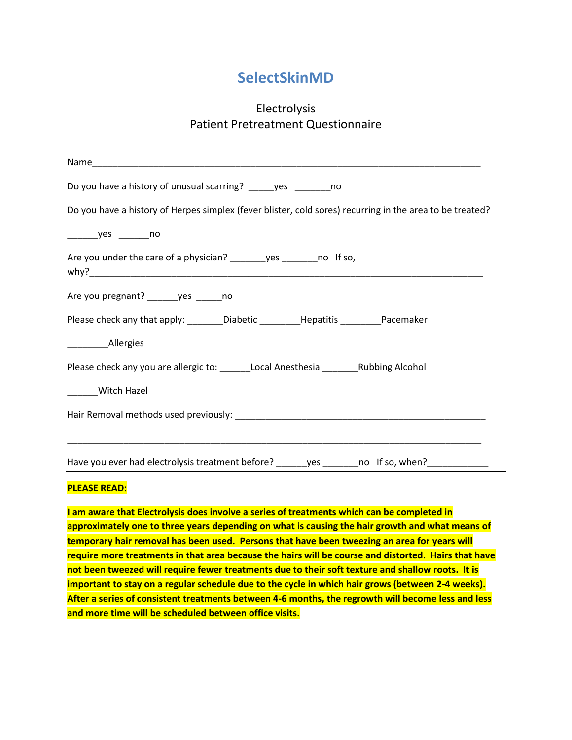## **SelectSkinMD**

## Electrolysis Patient Pretreatment Questionnaire

| Do you have a history of unusual scarring? _____yes ________no                                           |
|----------------------------------------------------------------------------------------------------------|
| Do you have a history of Herpes simplex (fever blister, cold sores) recurring in the area to be treated? |
|                                                                                                          |
| Are you under the care of a physician? _________ yes _________ no If so,                                 |
| Are you pregnant? _______ yes ______ no                                                                  |
| Please check any that apply: ________Diabetic _________Hepatitis _________Pacemaker                      |
| ____________Allergies                                                                                    |
| Please check any you are allergic to: _______Local Anesthesia ___________Rubbing Alcohol                 |
| _______Witch Hazel                                                                                       |
|                                                                                                          |
| Have you ever had electrolysis treatment before? ______yes _______no If so, when? ____________           |

## **PLEASE READ:**

**I am aware that Electrolysis does involve a series of treatments which can be completed in approximately one to three years depending on what is causing the hair growth and what means of temporary hair removal has been used. Persons that have been tweezing an area for years will require more treatments in that area because the hairs will be course and distorted. Hairs that have not been tweezed will require fewer treatments due to their soft texture and shallow roots. It is important to stay on a regular schedule due to the cycle in which hair grows (between 2-4 weeks). After a series of consistent treatments between 4-6 months, the regrowth will become less and less and more time will be scheduled between office visits.**